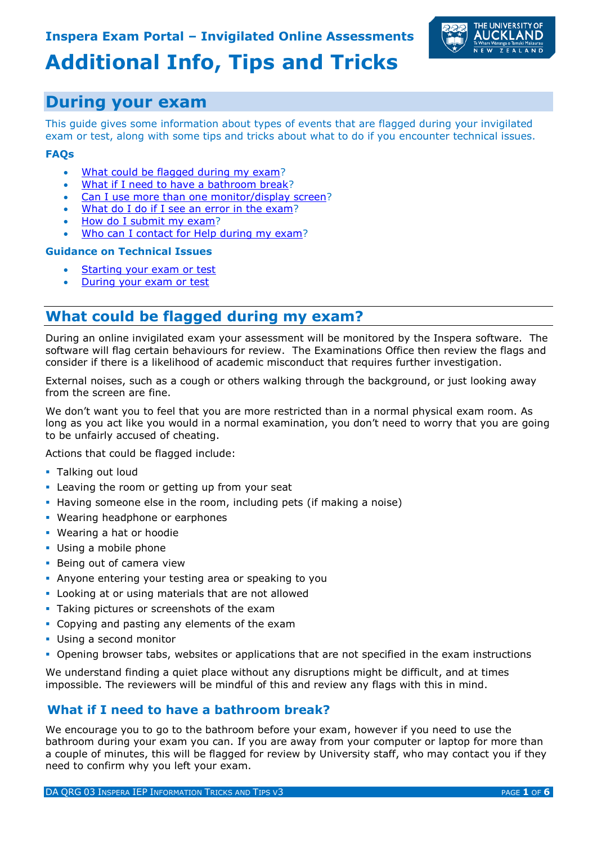

# **Additional Info, Tips and Tricks**

# **During your exam**

This guide gives some information about types of events that are flagged during your invigilated exam or test, along with some tips and tricks about what to do if you encounter technical issues.

#### **FAQs**

- [What could be flagged during my exam?](#page-0-0)
- [What if I need to have a bathroom break?](#page-0-1)
- [Can I use more than one monitor/display screen?](#page-1-0)
- [What do I do if I see an error in the exam?](#page-1-1)
- [How do I submit my exam?](#page-1-2)
- [Who can I contact for Help during my exam?](#page-1-3)

#### **Guidance on Technical Issues**

- [Starting your exam or test](#page-2-0)
- [During your exam or test](#page-4-0)

# <span id="page-0-0"></span>**What could be flagged during my exam?**

During an online invigilated exam your assessment will be monitored by the Inspera software. The software will flag certain behaviours for review. The Examinations Office then review the flags and consider if there is a likelihood of academic misconduct that requires further investigation.

External noises, such as a cough or others walking through the background, or just looking away from the screen are fine.

We don't want you to feel that you are more restricted than in a normal physical exam room. As long as you act like you would in a normal examination, you don't need to worry that you are going to be unfairly accused of cheating.

Actions that could be flagged include:

- **Talking out loud**
- **EXEC** Leaving the room or getting up from your seat
- **.** Having someone else in the room, including pets (if making a noise)
- Wearing headphone or earphones
- **·** Wearing a hat or hoodie
- **Using a mobile phone**
- **Being out of camera view**
- **Anyone entering your testing area or speaking to you**
- **.** Looking at or using materials that are not allowed
- **Taking pictures or screenshots of the exam**
- Copying and pasting any elements of the exam
- **Using a second monitor**
- **Opening browser tabs, websites or applications that are not specified in the exam instructions**

We understand finding a quiet place without any disruptions might be difficult, and at times impossible. The reviewers will be mindful of this and review any flags with this in mind.

### <span id="page-0-1"></span>**What if I need to have a bathroom break?**

We encourage you to go to the bathroom before your exam, however if you need to use the bathroom during your exam you can. If you are away from your computer or laptop for more than a couple of minutes, this will be flagged for review by University staff, who may contact you if they need to confirm why you left your exam.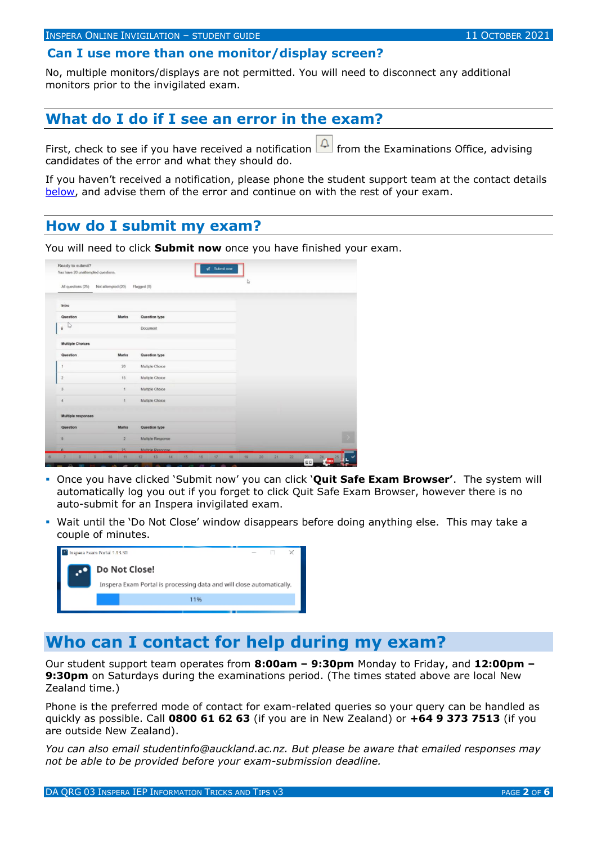### <span id="page-1-0"></span>**Can I use more than one monitor/display screen?**

No, multiple monitors/displays are not permitted. You will need to disconnect any additional monitors prior to the invigilated exam.

### <span id="page-1-1"></span>**What do I do if I see an error in the exam?**

First, check to see if you have received a notification  $\Box$  from the Examinations Office, advising candidates of the error and what they should do.

If you haven't received a notification, please phone the student support team at the contact details [below,](#page-1-3) and advise them of the error and continue on with the rest of your exam.

# <span id="page-1-2"></span>**How do I submit my exam?**

You will need to click **Submit now** once you have finished your exam.

| You have 20 unattempted questions. |                      |                   |    |  |
|------------------------------------|----------------------|-------------------|----|--|
| All questions (25)                 | Not attempted (20)   | Flagged (0)       | D, |  |
| Intro                              |                      |                   |    |  |
| Question                           | <b>Marks</b>         | Question type     |    |  |
| r3<br>$\mathbf i$                  |                      | Document          |    |  |
| <b>Multiple Choices</b>            |                      |                   |    |  |
| Question                           | Marks                | Question type     |    |  |
|                                    | 20                   | Multiple Choice   |    |  |
| $\overline{2}$                     | 15                   | Multiple Choice   |    |  |
| $\overline{3}$                     | 1                    | Multiple Choice   |    |  |
| 4                                  | $\ddot{\phantom{1}}$ | Multiple Choice   |    |  |
| Multiple responses                 |                      |                   |    |  |
| Question                           | Marks                | Question type     |    |  |
| 5                                  | $\overline{2}$       | Multiple Response |    |  |
| n.                                 | $25 -$               | Multiple Response |    |  |

- Once you have clicked 'Submit now' you can click '**Quit Safe Exam Browser'**. The system will automatically log you out if you forget to click Quit Safe Exam Browser, however there is no auto-submit for an Inspera invigilated exam.
- **•** Wait until the 'Do Not Close' window disappears before doing anything else. This may take a couple of minutes.

| Inspera Exam Portal 1.13.30                                          |  |  |  |  |  |
|----------------------------------------------------------------------|--|--|--|--|--|
| Do Not Close!                                                        |  |  |  |  |  |
| Inspera Exam Portal is processing data and will close automatically. |  |  |  |  |  |
| 11%                                                                  |  |  |  |  |  |
|                                                                      |  |  |  |  |  |

# <span id="page-1-3"></span>**Who can I contact for help during my exam?**

Our student support team operates from **8:00am – 9:30pm** Monday to Friday, and **12:00pm – 9:30pm** on Saturdays during the examinations period. (The times stated above are local New Zealand time.)

Phone is the preferred mode of contact for exam-related queries so your query can be handled as quickly as possible. Call **0800 61 62 63** (if you are in New Zealand) or **+64 9 373 7513** (if you are outside New Zealand).

*You can also email studentinfo@auckland.ac.nz. But please be aware that emailed responses may not be able to be provided before your exam-submission deadline.*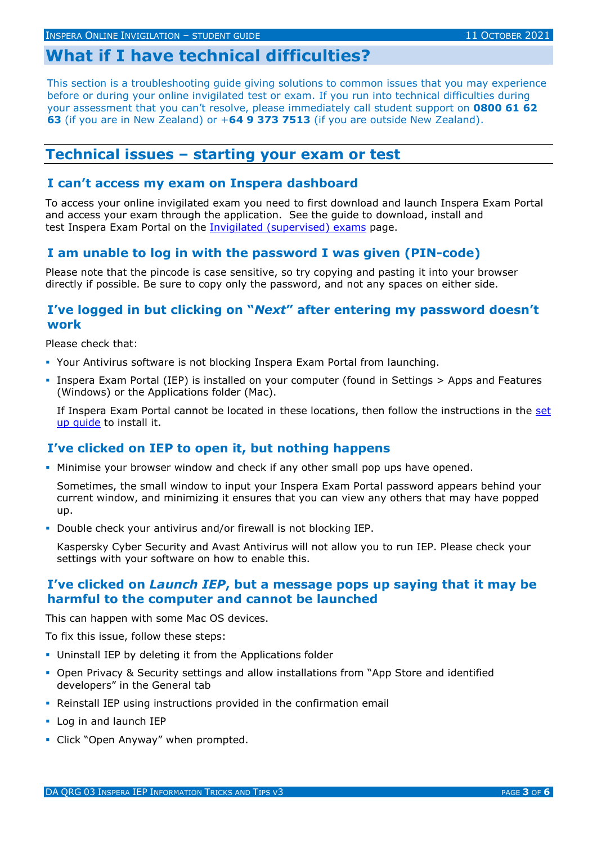# **What if I have technical difficulties?**

This section is a troubleshooting guide giving solutions to common issues that you may experience before or during your online invigilated test or exam. If you run into technical difficulties during your assessment that you can't resolve, please immediately call student support on **0800 61 62 63** (if you are in New Zealand) or +**64 9 373 7513** (if you are outside New Zealand).

#### <span id="page-2-0"></span>**Technical issues – starting your exam or test**

#### **I can't access my exam on Inspera dashboard**

To access your online invigilated exam you need to first download and launch Inspera Exam Portal and access your exam through the application. See the guide to download, install and test Inspera Exam Portal on the [Invigilated \(supervised\) exams](https://www.auckland.ac.nz/en/students/academic-information/exams-and-final-results/online-exams/invigilated-examinations.html?cq_ck=1633301310411) page.

#### **I am unable to log in with the password I was given (PIN-code)**

Please note that the pincode is case sensitive, so try copying and pasting it into your browser directly if possible. Be sure to copy only the password, and not any spaces on either side.

#### **I've logged in but clicking on "***Next***" after entering my password doesn't work**

Please check that:

- Your Antivirus software is not blocking Inspera Exam Portal from launching.
- **.** Inspera Exam Portal (IEP) is installed on your computer (found in Settings > Apps and Features (Windows) or the Applications folder (Mac).

If Inspera Exam Portal cannot be located in these locations, then follow the instructions in the set [up guide](https://www.auckland.ac.nz/en/students/academic-information/exams-and-final-results/online-exams/invigilated-examinations.html?cq_ck=1633301310411) to install it.

#### **I've clicked on IEP to open it, but nothing happens**

**.** Minimise your browser window and check if any other small pop ups have opened.

Sometimes, the small window to input your Inspera Exam Portal password appears behind your current window, and minimizing it ensures that you can view any others that may have popped up.

▪ Double check your antivirus and/or firewall is not blocking IEP.

Kaspersky Cyber Security and Avast Antivirus will not allow you to run IEP. Please check your settings with your software on how to enable this.

#### **I've clicked on** *Launch IEP***, but a message pops up saying that it may be harmful to the computer and cannot be launched**

This can happen with some Mac OS devices.

To fix this issue, follow these steps:

- **.** Uninstall IEP by deleting it from the Applications folder
- **Open Privacy & Security settings and allow installations from "App Store and identified** developers" in the General tab
- Reinstall IEP using instructions provided in the confirmation email
- Log in and launch IEP
- **·** Click "Open Anyway" when prompted.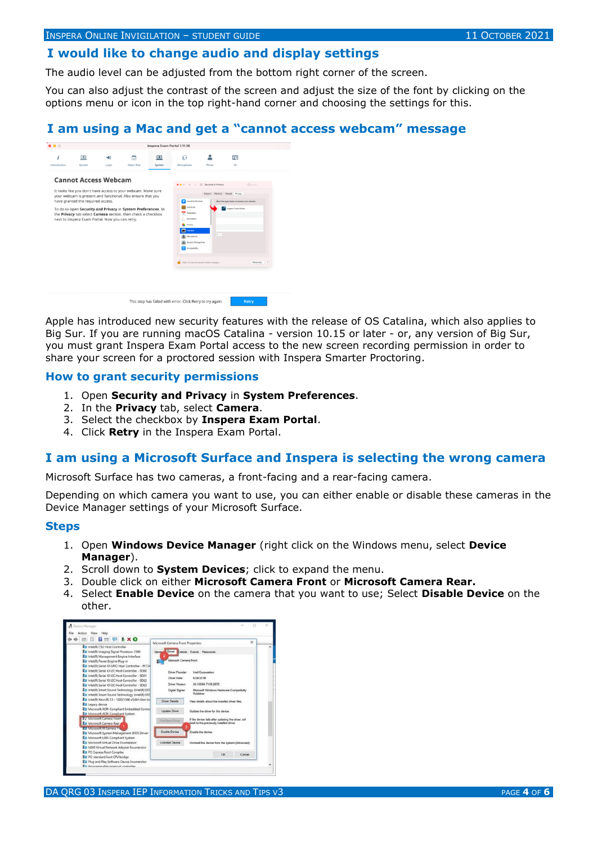#### **I would like to change audio and display settings**

The audio level can be adjusted from the bottom right corner of the screen.

You can also adjust the contrast of the screen and adjust the size of the font by clicking on the options menu or icon in the top right-hand corner and choosing the settings for this.

#### **I am using a Mac and get a "cannot access webcam" message**



Apple has introduced new security features with the release of OS Catalina, which also applies to Big Sur. If you are running macOS Catalina - version 10.15 or later - or, any version of Big Sur, you must grant Inspera Exam Portal access to the new screen recording permission in order to share your screen for a proctored session with Inspera Smarter Proctoring.

#### **How to grant security permissions**

- 1. Open **Security and Privacy** in **System Preferences**.
- 2. In the **Privacy** tab, select **Camera**.
- 3. Select the checkbox by **Inspera Exam Portal**.
- 4. Click **Retry** in the Inspera Exam Portal.

#### **I am using a Microsoft Surface and Inspera is selecting the wrong camera**

Microsoft Surface has two cameras, a front-facing and a rear-facing camera.

Depending on which camera you want to use, you can either enable or disable these cameras in the Device Manager settings of your Microsoft Surface.

#### **Steps**

- 1. Open **Windows Device Manager** (right click on the Windows menu, select **Device Manager**).
- 2. Scroll down to **System Devices**; click to expand the menu.
- 3. Double click on either **Microsoft Camera Front** or **Microsoft Camera Rear.**
- 4. Select **Enable Device** on the camera that you want to use; Select **Disable Device** on the other.

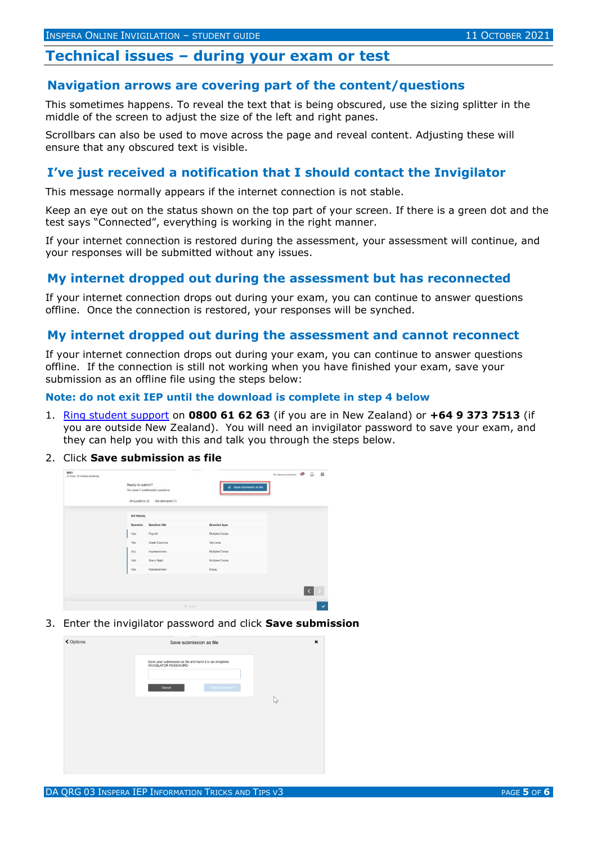#### <span id="page-4-0"></span>**Technical issues – during your exam or test**

#### **Navigation arrows are covering part of the content/questions**

This sometimes happens. To reveal the text that is being obscured, use the sizing splitter in the middle of the screen to adjust the size of the left and right panes.

Scrollbars can also be used to move across the page and reveal content. Adjusting these will ensure that any obscured text is visible.

#### **I've just received a notification that I should contact the Invigilator**

This message normally appears if the internet connection is not stable.

Keep an eye out on the status shown on the top part of your screen. If there is a green dot and the test says "Connected", everything is working in the right manner.

If your internet connection is restored during the assessment, your assessment will continue, and your responses will be submitted without any issues.

#### **My internet dropped out during the assessment but has reconnected**

If your internet connection drops out during your exam, you can continue to answer questions offline. Once the connection is restored, your responses will be synched.

#### **My internet dropped out during the assessment and cannot reconnect**

If your internet connection drops out during your exam, you can continue to answer questions offline. If the connection is still not working when you have finished your exam, save your submission as an offline file using the steps below:

**Note: do not exit IEP until the download is complete in step 4 below** 

- 1. Ring student support on **0800 61 62 63** (if you are in New Zealand) or **+64 9 373 7513** (if you are outside New Zealand). You will need an invigilator password to save your exam, and they can help you with this and talk you through the steps below.
- 2. Click **Save submission as file**



3. Enter the invigilator password and click **Save submission**